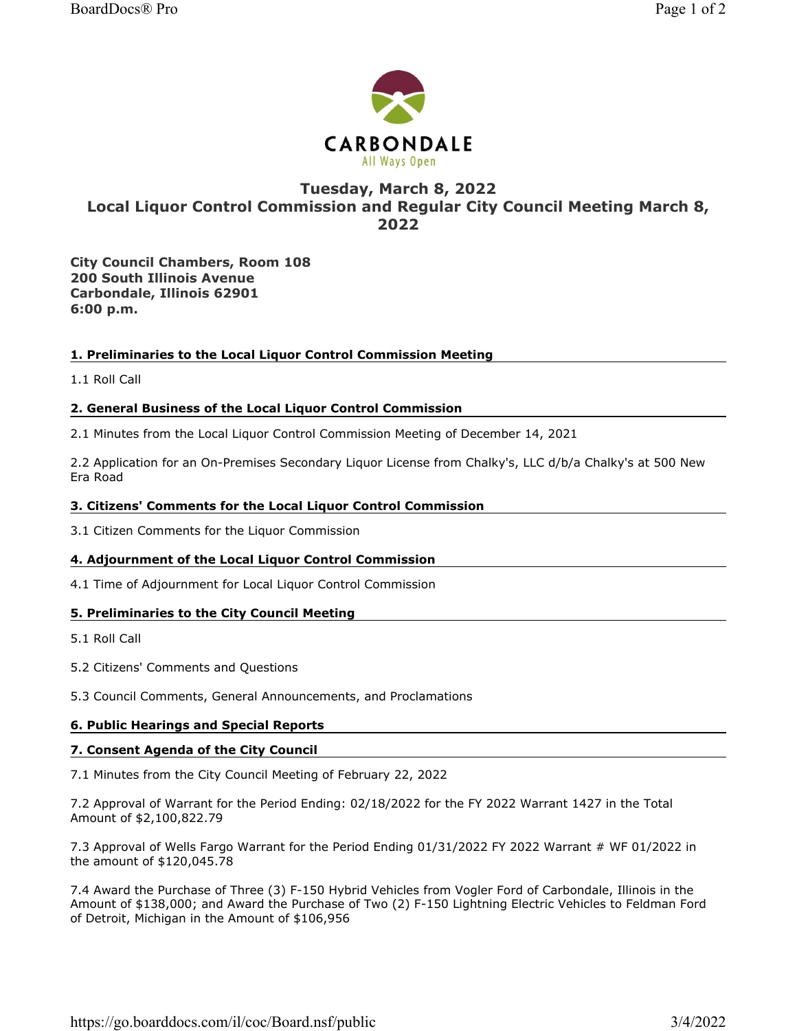

# Tuesday, March 8, 2022 Local Liquor Control Commission and Regular City Council Meeting March 8, 2022

**All Ways Open** 

City Council Chambers, Room 108 200 South Illinois Avenue Carbondale, Illinois 62901 6:00 p.m.

# 1. Preliminaries to the Local Liquor Control Commission Meeting

1.1 Roll Call

# 2. General Business of the Local Liquor Control Commission

2.1 Minutes from the Local Liquor Control Commission Meeting of December 14, 2021

2.2 Application for an On-Premises Secondary Liquor License from Chalky's, LLC d/b/a Chalky's at 500 New Era Road

#### 3. Citizens' Comments for the Local Liquor Control Commission

3.1 Citizen Comments for the Liquor Commission

# 4. Adjournment of the Local Liquor Control Commission

4.1 Time of Adjournment for Local Liquor Control Commission

# 5. Preliminaries to the City Council Meeting

5.1 Roll Call

5.2 Citizens' Comments and Questions

5.3 Council Comments, General Announcements, and Proclamations

# 6. Public Hearings and Special Reports

#### 7. Consent Agenda of the City Council

7.1 Minutes from the City Council Meeting of February 22, 2022

7.2 Approval of Warrant for the Period Ending: 02/18/2022 for the FY 2022 Warrant 1427 in the Total Amount of \$2,100,822.79

7.3 Approval of Wells Fargo Warrant for the Period Ending 01/31/2022 FY 2022 Warrant # WF 01/2022 in the amount of \$120,045.78

7.4 Award the Purchase of Three (3) F-150 Hybrid Vehicles from Vogler Ford of Carbondale, Illinois in the Amount of \$138,000; and Award the Purchase of Two (2) F-150 Lightning Electric Vehicles to Feldman Ford of Detroit, Michigan in the Amount of \$106,956